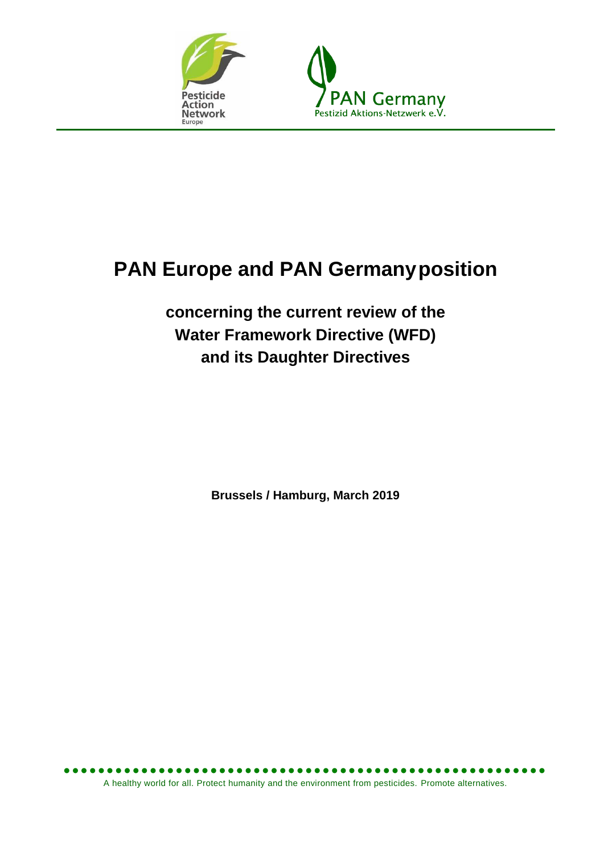



# **PAN Europe and PAN Germanyposition**

**concerning the current review of the Water Framework Directive (WFD) and its Daughter Directives**

**Brussels / Hamburg, March 2019**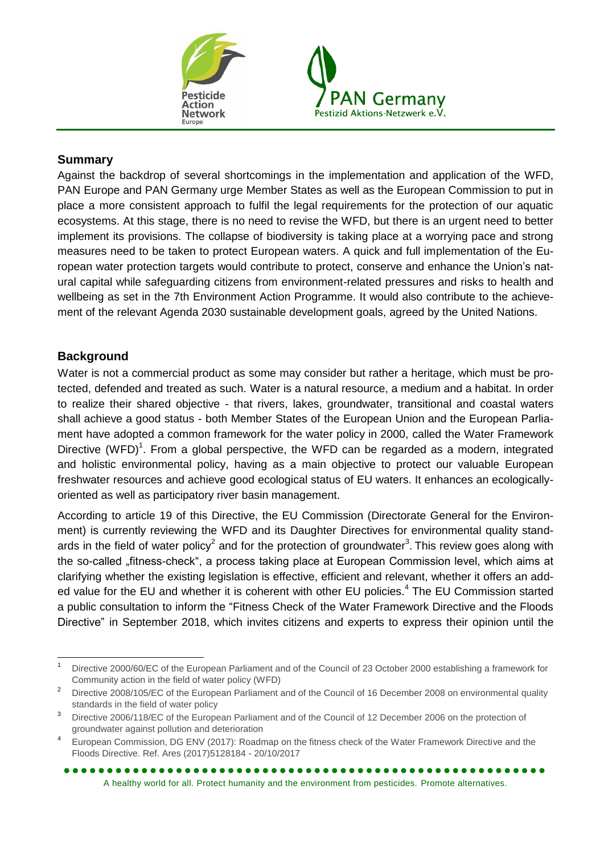



#### **Summary**

Against the backdrop of several shortcomings in the implementation and application of the WFD, PAN Europe and PAN Germany urge Member States as well as the European Commission to put in place a more consistent approach to fulfil the legal requirements for the protection of our aquatic ecosystems. At this stage, there is no need to revise the WFD, but there is an urgent need to better implement its provisions. The collapse of biodiversity is taking place at a worrying pace and strong measures need to be taken to protect European waters. A quick and full implementation of the European water protection targets would contribute to protect, conserve and enhance the Union's natural capital while safeguarding citizens from environment-related pressures and risks to health and wellbeing as set in the 7th Environment Action Programme. It would also contribute to the achievement of the relevant Agenda 2030 sustainable development goals, agreed by the United Nations.

#### **Background**

Water is not a commercial product as some may consider but rather a heritage, which must be protected, defended and treated as such. Water is a natural resource, a medium and a habitat. In order to realize their shared objective - that rivers, lakes, groundwater, transitional and coastal waters shall achieve a good status - both Member States of the European Union and the European Parliament have adopted a common framework for the water policy in 2000, called the Water Framework Directive (WFD)<sup>1</sup>. From a global perspective, the WFD can be regarded as a modern, integrated and holistic environmental policy, having as a main objective to protect our valuable European freshwater resources and achieve good ecological status of EU waters. It enhances an ecologicallyoriented as well as participatory river basin management.

According to article 19 of this Directive, the EU Commission (Directorate General for the Environment) is currently reviewing the WFD and its Daughter Directives for environmental quality standards in the field of water policy<sup>2</sup> and for the protection of groundwater<sup>3</sup>. This review goes along with the so-called "fitness-check", a process taking place at European Commission level, which aims at clarifying whether the existing legislation is effective, efficient and relevant, whether it offers an added value for the EU and whether it is coherent with other EU policies.<sup>4</sup> The EU Commission started a public consultation to inform the "Fitness Check of the Water Framework Directive and the Floods Directive" in September 2018, which invites citizens and experts to express their opinion until the

 $\overline{a}$ <sup>1</sup> Directive 2000/60/EC of the European Parliament and of the Council of 23 October 2000 establishing a framework for Community action in the field of water policy (WFD)

<sup>2</sup> Directive 2008/105/EC of the European Parliament and of the Council of 16 December 2008 on environmental quality standards in the field of water policy

<sup>3</sup> Directive 2006/118/EC of the European Parliament and of the Council of 12 December 2006 on the protection of groundwater against pollution and deterioration

<sup>4</sup> European Commission, DG ENV (2017): Roadmap on the fitness check of the Water Framework Directive and the Floods Directive. Ref. Ares (2017)5128184 - 20/10/2017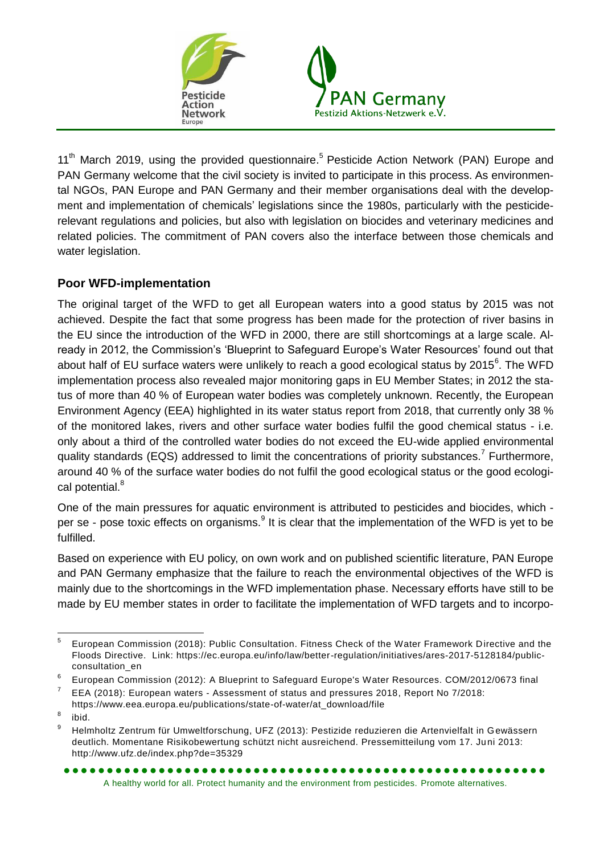

11<sup>th</sup> March 2019, using the provided questionnaire.<sup>5</sup> Pesticide Action Network (PAN) Europe and PAN Germany welcome that the civil society is invited to participate in this process. As environmental NGOs, PAN Europe and PAN Germany and their member organisations deal with the development and implementation of chemicals' legislations since the 1980s, particularly with the pesticiderelevant regulations and policies, but also with legislation on biocides and veterinary medicines and related policies. The commitment of PAN covers also the interface between those chemicals and water legislation.

## **Poor WFD-implementation**

The original target of the WFD to get all European waters into a good status by 2015 was not achieved. Despite the fact that some progress has been made for the protection of river basins in the EU since the introduction of the WFD in 2000, there are still shortcomings at a large scale. Already in 2012, the Commission's 'Blueprint to Safeguard Europe's Water Resources' found out that about half of EU surface waters were unlikely to reach a good ecological status by 2015 $^6$ . The WFD implementation process also revealed major monitoring gaps in EU Member States; in 2012 the status of more than 40 % of European water bodies was completely unknown. Recently, the European Environment Agency (EEA) highlighted in its water status report from 2018, that currently only 38 % of the monitored lakes, rivers and other surface water bodies fulfil the good chemical status - i.e. only about a third of the controlled water bodies do not exceed the EU-wide applied environmental quality standards (EQS) addressed to limit the concentrations of priority substances.<sup>7</sup> Furthermore, around 40 % of the surface water bodies do not fulfil the good ecological status or the good ecological potential.<sup>8</sup>

One of the main pressures for aquatic environment is attributed to pesticides and biocides, which per se - pose toxic effects on organisms.<sup>9</sup> It is clear that the implementation of the WFD is yet to be fulfilled.

Based on experience with EU policy, on own work and on published scientific literature, PAN Europe and PAN Germany emphasize that the failure to reach the environmental objectives of the WFD is mainly due to the shortcomings in the WFD implementation phase. Necessary efforts have still to be made by EU member states in order to facilitate the implementation of WFD targets and to incorpo-

<sup>—&</sup>lt;br>5 European Commission (2018): Public Consultation. Fitness Check of the Water Framework Directive and the Floods Directive. Link: https://ec.europa.eu/info/law/better-regulation/initiatives/ares-2017-5128184/publicconsultation\_en

<sup>6</sup> European Commission (2012): A Blueprint to Safeguard Europe's Water Resources. COM/2012/0673 final

<sup>7</sup> EEA (2018): European waters - Assessment of status and pressures 2018, Report No 7/2018:

https://www.eea.europa.eu/publications/state-of-water/at\_download/file

<sup>8</sup> ibid.

<sup>9</sup> Helmholtz Zentrum für Umweltforschung, UFZ (2013): Pestizide reduzieren die Artenvielfalt in Gewässern deutlich. Momentane Risikobewertung schützt nicht ausreichend. Pressemitteilung vom 17. Juni 2013: http://www.ufz.de/index.php?de=35329

A healthy world for all. Protect humanity and the environment from pesticides. Promote alternatives.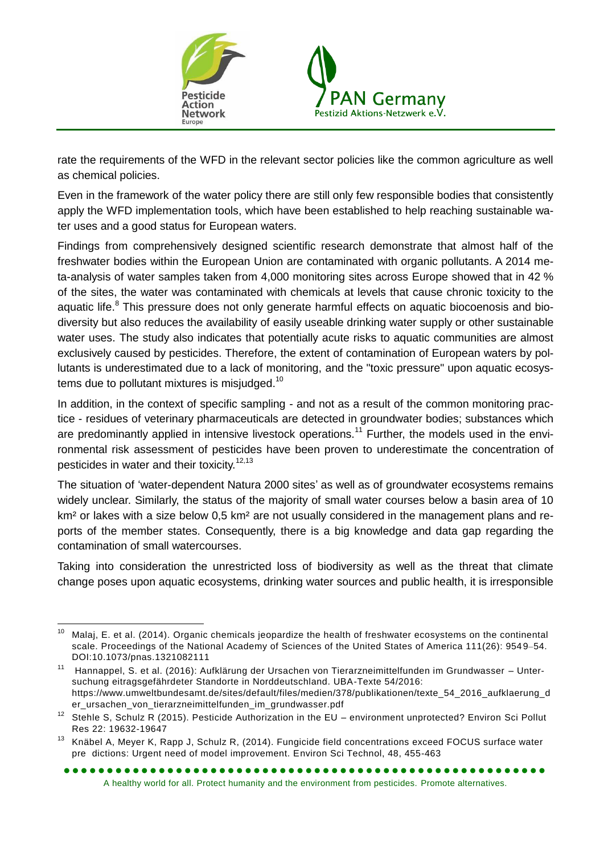

rate the requirements of the WFD in the relevant sector policies like the common agriculture as well as chemical policies.

Even in the framework of the water policy there are still only few responsible bodies that consistently apply the WFD implementation tools, which have been established to help reaching sustainable water uses and a good status for European waters.

Findings from comprehensively designed scientific research demonstrate that almost half of the freshwater bodies within the European Union are contaminated with organic pollutants. A 2014 meta-analysis of water samples taken from 4,000 monitoring sites across Europe showed that in 42 % of the sites, the water was contaminated with chemicals at levels that cause chronic toxicity to the aquatic life.<sup>8</sup> This pressure does not only generate harmful effects on aquatic biocoenosis and biodiversity but also reduces the availability of easily useable drinking water supply or other sustainable water uses. The study also indicates that potentially acute risks to aquatic communities are almost exclusively caused by pesticides. Therefore, the extent of contamination of European waters by pollutants is underestimated due to a lack of monitoring, and the "toxic pressure" upon aquatic ecosystems due to pollutant mixtures is misjudged.<sup>10</sup>

In addition, in the context of specific sampling - and not as a result of the common monitoring practice - residues of veterinary pharmaceuticals are detected in groundwater bodies; substances which are predominantly applied in intensive livestock operations.<sup>11</sup> Further, the models used in the environmental risk assessment of pesticides have been proven to underestimate the concentration of pesticides in water and their toxicity.<sup>12,13</sup>

The situation of 'water-dependent Natura 2000 sites' as well as of groundwater ecosystems remains widely unclear. Similarly, the status of the majority of small water courses below a basin area of 10 km<sup>2</sup> or lakes with a size below 0,5 km<sup>2</sup> are not usually considered in the management plans and reports of the member states. Consequently, there is a big knowledge and data gap regarding the contamination of small watercourses.

Taking into consideration the unrestricted loss of biodiversity as well as the threat that climate change poses upon aquatic ecosystems, drinking water sources and public health, it is irresponsible

 $10$ <sup>10</sup> Malaj, E. et al. (2014). Organic chemicals jeopardize the health of freshwater ecosystems on the continental scale. Proceedings of the National Academy of Sciences of the United States of America 111(26): 9549–54. DOI:10.1073/pnas.1321082111

<sup>11</sup> Hannappel, S. et al. (2016): Aufklärung der Ursachen von Tierarzneimittelfunden im Grundwasser – Untersuchung eitragsgefährdeter Standorte in Norddeutschland. UBA-Texte 54/2016: https://www.umweltbundesamt.de/sites/default/files/medien/378/publikationen/texte\_54\_2016\_aufklaerung\_d er\_ursachen\_von\_tierarzneimittelfunden\_im\_grundwasser.pdf

<sup>&</sup>lt;sup>12</sup> Stehle S, Schulz R (2015). Pesticide Authorization in the EU – environment unprotected? Environ Sci Pollut Res 22: 19632-19647

<sup>&</sup>lt;sup>13</sup> Knäbel A, Meyer K, Rapp J, Schulz R, (2014). Fungicide field concentrations exceed FOCUS surface water pre dictions: Urgent need of model improvement. Environ Sci Technol, 48, 455-463

A healthy world for all. Protect humanity and the environment from pesticides. Promote alternatives.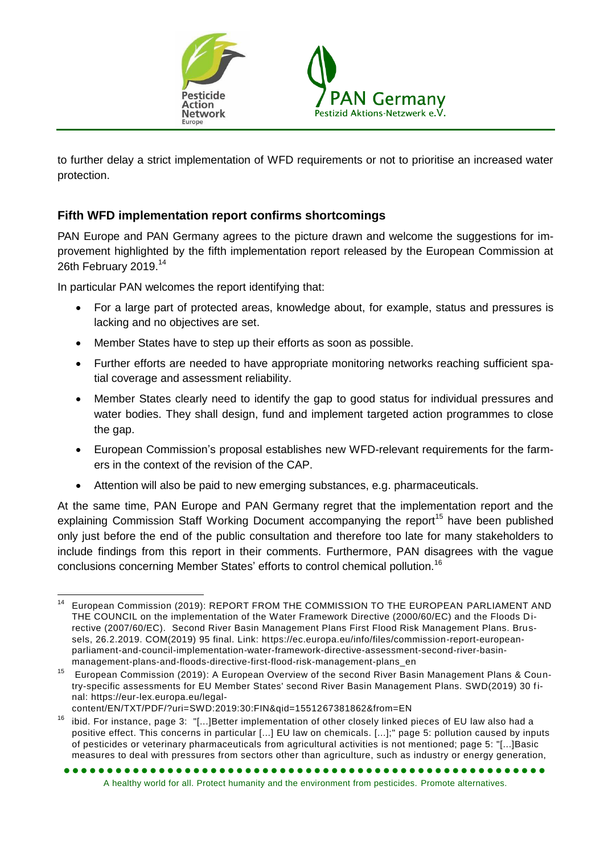

to further delay a strict implementation of WFD requirements or not to prioritise an increased water protection.

## **Fifth WFD implementation report confirms shortcomings**

PAN Europe and PAN Germany agrees to the picture drawn and welcome the suggestions for improvement highlighted by the fifth implementation report released by the European Commission at 26th February 2019.<sup>14</sup>

In particular PAN welcomes the report identifying that:

- For a large part of protected areas, knowledge about, for example, status and pressures is lacking and no objectives are set.
- Member States have to step up their efforts as soon as possible.
- Further efforts are needed to have appropriate monitoring networks reaching sufficient spatial coverage and assessment reliability.
- Member States clearly need to identify the gap to good status for individual pressures and water bodies. They shall design, fund and implement targeted action programmes to close the gap.
- European Commission's proposal establishes new WFD-relevant requirements for the farmers in the context of the revision of the CAP.
- Attention will also be paid to new emerging substances, e.g. pharmaceuticals.

At the same time, PAN Europe and PAN Germany regret that the implementation report and the explaining Commission Staff Working Document accompanying the report<sup>15</sup> have been published only just before the end of the public consultation and therefore too late for many stakeholders to include findings from this report in their comments. Furthermore, PAN disagrees with the vague conclusions concerning Member States' efforts to control chemical pollution.<sup>16</sup>

 $\overline{a}$ <sup>14</sup> European Commission (2019): REPORT FROM THE COMMISSION TO THE EUROPEAN PARLIAMENT AND THE COUNCIL on the implementation of the Water Framework Directive (2000/60/EC) and the Floods Directive (2007/60/EC). Second River Basin Management Plans First Flood Risk Management Plans. Brussels, 26.2.2019. COM(2019) 95 final. Link: https://ec.europa.eu/info/files/commission-report-europeanparliament-and-council-implementation-water-framework-directive-assessment-second-river-basinmanagement-plans-and-floods-directive-first-flood-risk-management-plans\_en

<sup>15</sup> European Commission (2019): A European Overview of the second River Basin Management Plans & Country-specific assessments for EU Member States' second River Basin Management Plans. SWD(2019) 30 final: https://eur-lex.europa.eu/legal-

content/EN/TXT/PDF/?uri=SWD:2019:30:FIN&qid=1551267381862&from=EN

<sup>&</sup>lt;sup>16</sup> ibid. For instance, page 3: "[...]Better implementation of other closely linked pieces of EU law also had a positive effect. This concerns in particular [...] EU law on chemicals. [...];" page 5: pollution caused by inputs of pesticides or veterinary pharmaceuticals from agricultural activities is not mentioned; page 5: "[...]Basic measures to deal with pressures from sectors other than agriculture, such as industry or energy generation,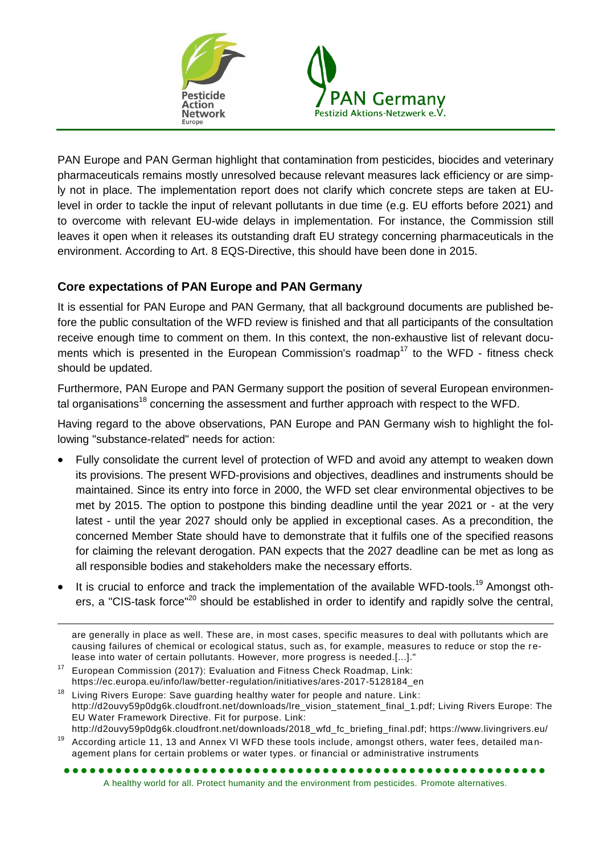

PAN Europe and PAN German highlight that contamination from pesticides, biocides and veterinary pharmaceuticals remains mostly unresolved because relevant measures lack efficiency or are simply not in place. The implementation report does not clarify which concrete steps are taken at EUlevel in order to tackle the input of relevant pollutants in due time (e.g. EU efforts before 2021) and to overcome with relevant EU-wide delays in implementation. For instance, the Commission still leaves it open when it releases its outstanding draft EU strategy concerning pharmaceuticals in the environment. According to Art. 8 EQS-Directive, this should have been done in 2015.

## **Core expectations of PAN Europe and PAN Germany**

It is essential for PAN Europe and PAN Germany, that all background documents are published before the public consultation of the WFD review is finished and that all participants of the consultation receive enough time to comment on them. In this context, the non-exhaustive list of relevant documents which is presented in the European Commission's roadmap<sup>17</sup> to the WFD - fitness check should be updated.

Furthermore, PAN Europe and PAN Germany support the position of several European environmental organisations<sup>18</sup> concerning the assessment and further approach with respect to the WFD.

Having regard to the above observations, PAN Europe and PAN Germany wish to highlight the following "substance-related" needs for action:

- Fully consolidate the current level of protection of WFD and avoid any attempt to weaken down its provisions. The present WFD-provisions and objectives, deadlines and instruments should be maintained. Since its entry into force in 2000, the WFD set clear environmental objectives to be met by 2015. The option to postpone this binding deadline until the year 2021 or - at the very latest - until the year 2027 should only be applied in exceptional cases. As a precondition, the concerned Member State should have to demonstrate that it fulfils one of the specified reasons for claiming the relevant derogation. PAN expects that the 2027 deadline can be met as long as all responsible bodies and stakeholders make the necessary efforts.
- It is crucial to enforce and track the implementation of the available WFD-tools.<sup>19</sup> Amongst others, a "CIS-task force"<sup>20</sup> should be established in order to identify and rapidly solve the central,

<sup>17</sup> European Commission (2017): Evaluation and Fitness Check Roadmap, Link: https://ec.europa.eu/info/law/better-regulation/initiatives/ares-2017-5128184\_en

<sup>19</sup> According article 11, 13 and Annex VI WFD these tools include, amongst others, water fees, detailed management plans for certain problems or water types. or financial or administrative instruments

are generally in place as well. These are, in most cases, specific measures to deal with pollutants which are causing failures of chemical or ecological status, such as, for example, measures to reduce or stop the release into water of certain pollutants. However, more progress is needed.[...]."

 $18$  Living Rivers Europe: Save guarding healthy water for people and nature. Link: http://d2ouvy59p0dg6k.cloudfront.net/downloads/lre\_vision\_statement\_final\_1.pdf; Living Rivers Europe: The EU Water Framework Directive. Fit for purpose. Link: http://d2ouvy59p0dg6k.cloudfront.net/downloads/2018\_wfd\_fc\_briefing\_final.pdf; https://www.livingrivers.eu/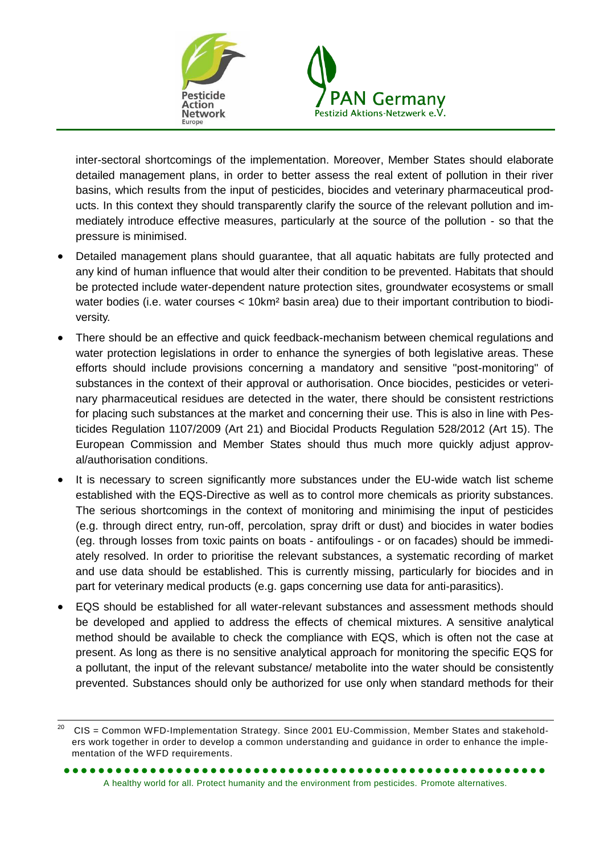

inter-sectoral shortcomings of the implementation. Moreover, Member States should elaborate detailed management plans, in order to better assess the real extent of pollution in their river basins, which results from the input of pesticides, biocides and veterinary pharmaceutical products. In this context they should transparently clarify the source of the relevant pollution and immediately introduce effective measures, particularly at the source of the pollution - so that the pressure is minimised.

- Detailed management plans should guarantee, that all aquatic habitats are fully protected and any kind of human influence that would alter their condition to be prevented. Habitats that should be protected include water-dependent nature protection sites, groundwater ecosystems or small water bodies (i.e. water courses < 10km² basin area) due to their important contribution to biodiversity.
- There should be an effective and quick feedback-mechanism between chemical regulations and water protection legislations in order to enhance the synergies of both legislative areas. These efforts should include provisions concerning a mandatory and sensitive "post-monitoring" of substances in the context of their approval or authorisation. Once biocides, pesticides or veterinary pharmaceutical residues are detected in the water, there should be consistent restrictions for placing such substances at the market and concerning their use. This is also in line with Pesticides Regulation 1107/2009 (Art 21) and Biocidal Products Regulation 528/2012 (Art 15). The European Commission and Member States should thus much more quickly adjust approval/authorisation conditions.
- It is necessary to screen significantly more substances under the EU-wide watch list scheme established with the EQS-Directive as well as to control more chemicals as priority substances. The serious shortcomings in the context of monitoring and minimising the input of pesticides (e.g. through direct entry, run-off, percolation, spray drift or dust) and biocides in water bodies (eg. through losses from toxic paints on boats - antifoulings - or on facades) should be immediately resolved. In order to prioritise the relevant substances, a systematic recording of market and use data should be established. This is currently missing, particularly for biocides and in part for veterinary medical products (e.g. gaps concerning use data for anti-parasitics).
- EQS should be established for all water-relevant substances and assessment methods should be developed and applied to address the effects of chemical mixtures. A sensitive analytical method should be available to check the compliance with EQS, which is often not the case at present. As long as there is no sensitive analytical approach for monitoring the specific EQS for a pollutant, the input of the relevant substance/ metabolite into the water should be consistently prevented. Substances should only be authorized for use only when standard methods for their

<sup>20</sup> <sup>20</sup> CIS = Common WFD-Implementation Strategy. Since 2001 EU-Commission, Member States and stakeholders work together in order to develop a common understanding and guidance in order to enhance the implementation of the WFD requirements.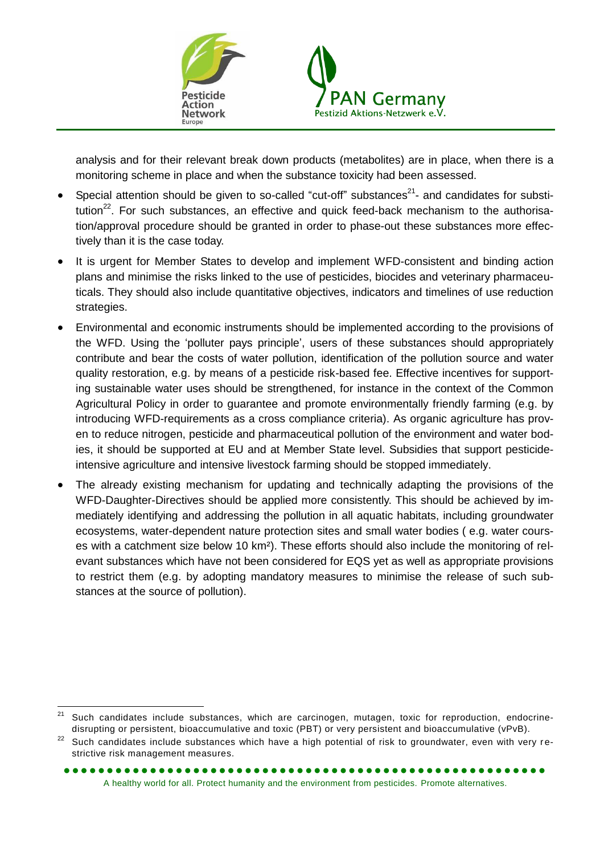

analysis and for their relevant break down products (metabolites) are in place, when there is a monitoring scheme in place and when the substance toxicity had been assessed.

- Special attention should be given to so-called "cut-off" substances<sup>21</sup>- and candidates for substitution $^{22}$ . For such substances, an effective and quick feed-back mechanism to the authorisation/approval procedure should be granted in order to phase-out these substances more effectively than it is the case today.
- It is urgent for Member States to develop and implement WFD-consistent and binding action plans and minimise the risks linked to the use of pesticides, biocides and veterinary pharmaceuticals. They should also include quantitative objectives, indicators and timelines of use reduction strategies.
- Environmental and economic instruments should be implemented according to the provisions of the WFD. Using the 'polluter pays principle', users of these substances should appropriately contribute and bear the costs of water pollution, identification of the pollution source and water quality restoration, e.g. by means of a pesticide risk-based fee. Effective incentives for supporting sustainable water uses should be strengthened, for instance in the context of the Common Agricultural Policy in order to guarantee and promote environmentally friendly farming (e.g. by introducing WFD-requirements as a cross compliance criteria). As organic agriculture has proven to reduce nitrogen, pesticide and pharmaceutical pollution of the environment and water bodies, it should be supported at EU and at Member State level. Subsidies that support pesticideintensive agriculture and intensive livestock farming should be stopped immediately.
- The already existing mechanism for updating and technically adapting the provisions of the WFD-Daughter-Directives should be applied more consistently. This should be achieved by immediately identifying and addressing the pollution in all aquatic habitats, including groundwater ecosystems, water-dependent nature protection sites and small water bodies ( e.g. water courses with a catchment size below 10 km²). These efforts should also include the monitoring of relevant substances which have not been considered for EQS yet as well as appropriate provisions to restrict them (e.g. by adopting mandatory measures to minimise the release of such substances at the source of pollution).

<sup>21</sup> Such candidates include substances, which are carcinogen, mutagen, toxic for reproduction, endocrinedisrupting or persistent, bioaccumulative and toxic (PBT) or very persistent and bioaccumulative (vPvB).

<sup>&</sup>lt;sup>22</sup> Such candidates include substances which have a high potential of risk to groundwater, even with very restrictive risk management measures.